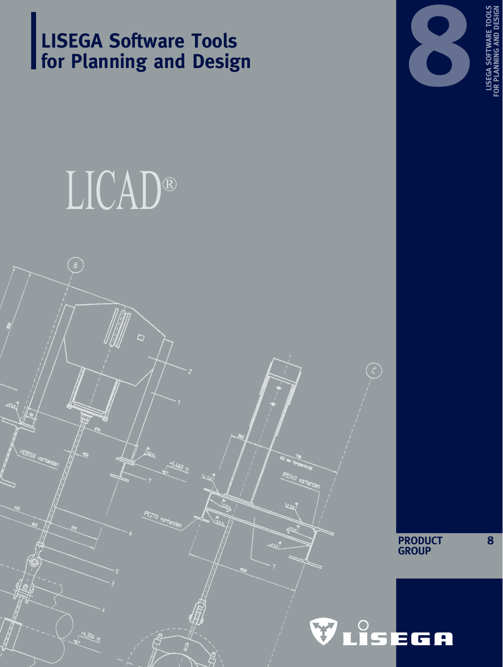**LISEGA Software Tools for Planning and Design**

# **8**

**tware Tools for Planning and Design** LISEGA SOFTWARE TOOLS<br>FOR PLANNING AND DESIGN **LISEGA Sof**

## LICAD®

 $\odot$ 





 $\bigodot$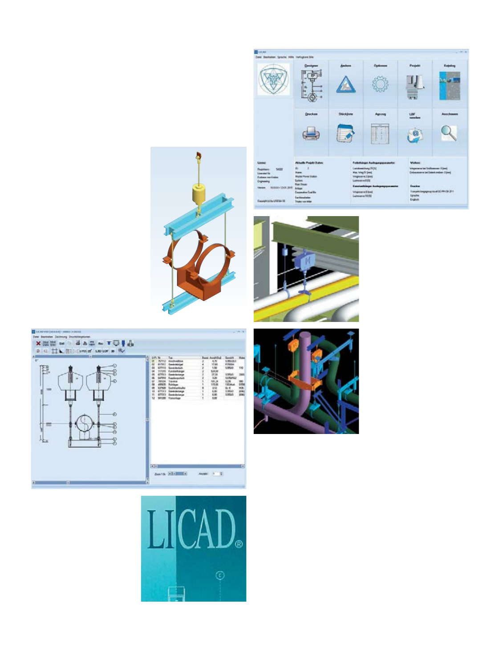









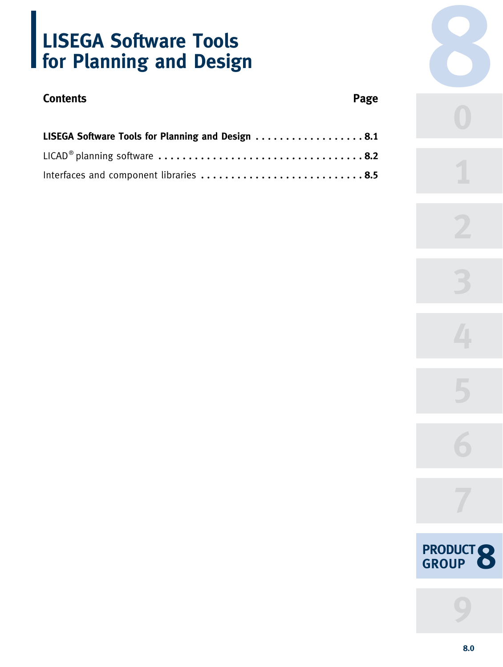## **LISEGA Software Tools for Planning and Design**

#### **Contents** Page

| LISEGA Software Tools for Planning and Design  8.1 |
|----------------------------------------------------|
|                                                    |
| Interfaces and component libraries 8.5             |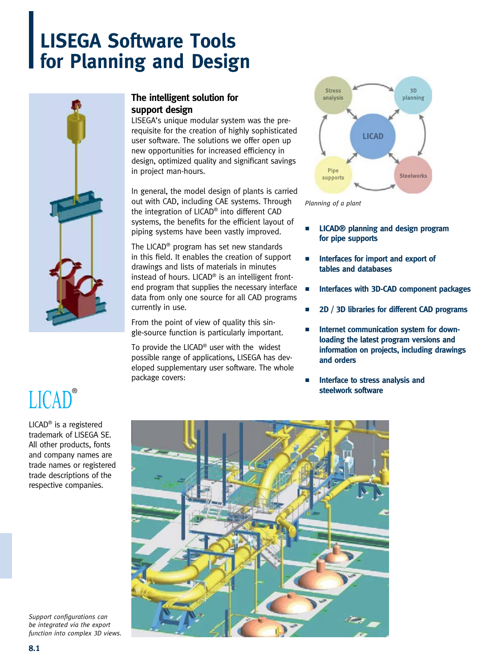## **LISEGA Software Tools for Planning and Design**



#### **The intelligent solution for support design**

LISEGA's unique modular system was the prerequisite for the creation of highly sophisticated user software. The solutions we offer open up new opportunities for increased efficiency in design, optimized quality and significant savings in project man-hours.

In general, the model design of plants is carried out with CAD, including CAE systems. Through the integration of LICAD® into different CAD systems, the benefits for the efficient layout of piping systems have been vastly improved.

The LICAD® program has set new standards in this field. It enables the creation of support drawings and lists of materials in minutes instead of hours. LICAD® is an intelligent frontend program that supplies the necessary interface data from only one source for all CAD programs currently in use.

From the point of view of quality this single-source function is particularly important.

To provide the LICAD® user with the widest possible range of applications, LISEGA has developed supplementary user software. The whole package covers:



*Planning of a plant*

- **LICAD® planning and design program for pipe supports**
- **Interfaces for import and export of tables and databases**
- **Interfaces with 3D-CAD component packages**
- **2D / 3D libraries for different CAD programs**
- **Internet communication system for downloading the latest program versions and information on projects, including drawings and orders**
- **Interface to stress analysis and steelwork software**



## LICAD

LICAD® is a registered trademark of LISEGA SE. All other products, fonts and company names are trade names or registered trade descriptions of the respective companies.

*Support configurations can be integrated via the export function into complex 3D views.*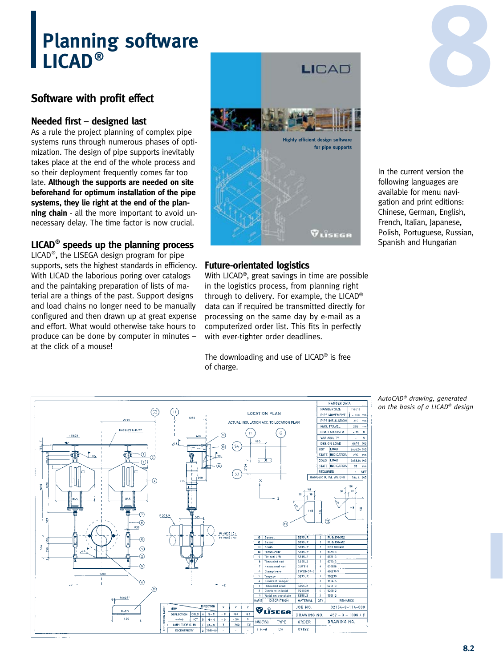## **Planning software LICAD ®**

#### **Software with profit effect**

#### **Needed first – designed last**

As a rule the project planning of complex pipe systems runs through numerous phases of optimization. The design of pipe supports inevitably takes place at the end of the whole process and so their deployment frequently comes far too late. **Although the supports are needed on site beforehand for optimum installation of the pipe systems, they lie right at the end of the planning chain** - all the more important to avoid unnecessary delay. The time factor is now crucial.

#### **LICAD ® speeds up the planning process**

 $LICAD<sup>®</sup>$ , the LISEGA design program for pipe supports, sets the highest standards in efficiency. With LICAD the laborious poring over catalogs and the paintaking preparation of lists of material are a things of the past. Support designs and load chains no longer need to be manually configured and then drawn up at great expense and effort. What would otherwise take hours to produce can be done by computer in minutes – at the click of a mouse!



#### **Future-orientated logistics**

With LICAD®, great savings in time are possible in the logistics process, from planning right through to delivery. For example, the LICAD® data can if required be transmitted directly for processing on the same day by e-mail as a computerized order list. This fits in perfectly with ever-tighter order deadlines.

The downloading and use of LICAD® is free of charge.

In the current version the following languages are available for menu navigation and print editions: Chinese, German, English, French, Italian, Japanese, Polish, Portuguese, Russian, Spanish and Hungarian

**8**



*AutoCAD® drawing, generated on the basis of a LICAD® design*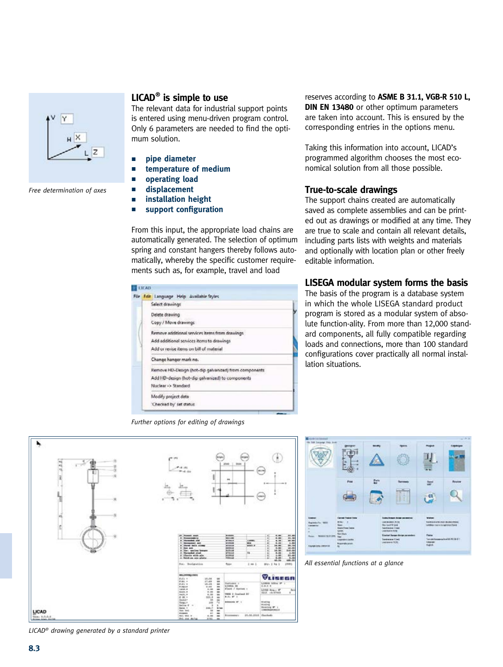

*Free determination of axes*

#### **LICAD ® is simple to use**

The relevant data for industrial support points is entered using menu-driven program control. Only 6 parameters are needed to find the optimum solution.

- **pipe diameter**
- **temperature of medium**
- **operating load**
- **displacement**
- **installation height**
- **support configuration**

From this input, the appropriate load chains are automatically generated. The selection of optimum spring and constant hangers thereby follows automatically, whereby the specific customer requirements such as, for example, travel and load

| Für For Language Help Available Styles                |  |  |
|-------------------------------------------------------|--|--|
| Select drawings                                       |  |  |
| Delete drawing                                        |  |  |
| Copy / Move drawings                                  |  |  |
| Remove additional services items from drawings        |  |  |
| Add additional services items to drawings             |  |  |
| Add or revise items on bill of material               |  |  |
| Change hanger mark no.                                |  |  |
| Remove HD-Design (hot-dip galvanized) from components |  |  |
| Add HD-design (hot-dip galvanized) to components      |  |  |
| Nuclear -> Standard                                   |  |  |
| Modify project data                                   |  |  |
| 'Checked by' set status                               |  |  |

*Further options for editing of drawings* 

reserves according to **ASME B 31.1, VGB-R 510 L, DIN EN 13480** or other optimum parameters are taken into account. This is ensured by the corresponding entries in the options menu.

Taking this information into account, LICAD's programmed algorithm chooses the most economical solution from all those possible.

#### **True-to-scale drawings**

The support chains created are automatically saved as complete assemblies and can be printed out as drawings or modified at any time. They are true to scale and contain all relevant details, including parts lists with weights and materials and optionally with location plan or other freely editable information.

#### **LISEGA modular system forms the basis**

The basis of the program is a database system in which the whole LISEGA standard product program is stored as a modular system of absolute function-ality. From more than 12,000 standard components, all fully compatible regarding loads and connections, more than 100 standard configurations cover practically all normal installation situations.





*All essential functions at a glance* 

*LICAD® drawing generated by a standard printer*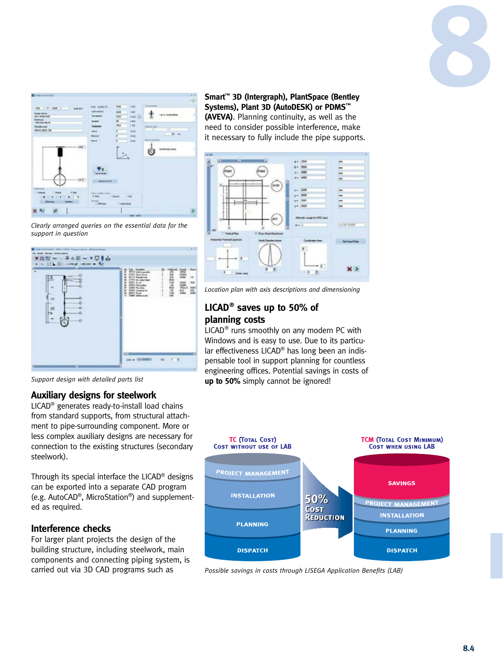



*Clearly arranged queries on the essential data for the support in question* 



*Support design with detailed parts list* 

#### **Auxiliary designs for steelwork**

LICAD® generates ready-to-install load chains from standard supports, from structural attachment to pipe-surrounding component. More or less complex auxiliary designs are necessary for connection to the existing structures (secondary steelwork).

Through its special interface the LICAD® designs can be exported into a separate CAD program (e.g. AutoCAD®, MicroStation®) and supplemented as required.

#### **Interference checks**

For larger plant projects the design of the building structure, including steelwork, main components and connecting piping system, is carried out via 3D CAD programs such as

#### **Smart™ 3D (Intergraph), PlantSpace (Bentley Systems), Plant 3D (AutoDESK) or PDMS™ (AVEVA)**. Planning continuity, as well as the need to consider possible interference, make it necessary to fully include the pipe supports.



*Location plan with axis descriptions and dimensioning* 

#### **LICAD ® saves up to 50% of planning costs**

 $LICAD<sup>®</sup>$  runs smoothly on any modern PC with Windows and is easy to use. Due to its particular effectiveness LICAD® has long been an indispensable tool in support planning for countless engineering offices. Potential savings in costs of **up to 50%** simply cannot be ignored!



*Possible savings in costs through LISEGA Application Benefits (LAB)*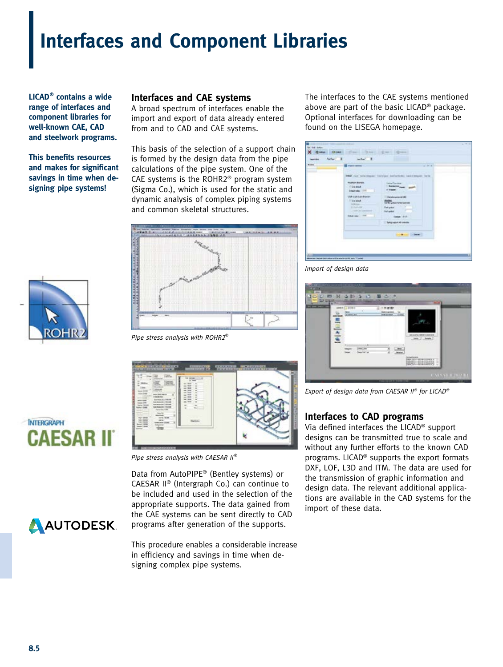## **Interfaces and Component Libraries**

**LICAD ® contains a wide range of interfaces and component libraries for well-known CAE, CAD and steelwork programs.** 

**This benefits resources and makes for significant savings in time when designing pipe systems!** 





#### **Interfaces and CAE systems**

A broad spectrum of interfaces enable the import and export of data already entered from and to CAD and CAE systems.

This basis of the selection of a support chain is formed by the design data from the pipe calculations of the pipe system. One of the CAE systems is the ROHR2® program system (Sigma Co.), which is used for the static and dynamic analysis of complex piping systems and common skeletal structures.



*Pipe stress analysis with ROHR2*®



*Pipe stress analysis with CAESAR II*®

Data from AutoPIPE® (Bentley systems) or CAESAR II® (Intergraph Co.) can continue to be included and used in the selection of the appropriate supports. The data gained from the CAE systems can be sent directly to CAD programs after generation of the supports.

This procedure enables a considerable increase in efficiency and savings in time when designing complex pipe systems.

The interfaces to the CAE systems mentioned above are part of the basic LICAD® package. Optional interfaces for downloading can be found on the LISEGA homepage.

| <b>Suite</b> | <b>TE</b> many lames                                                                                                                     | ---                                                                                                                                          |
|--------------|------------------------------------------------------------------------------------------------------------------------------------------|----------------------------------------------------------------------------------------------------------------------------------------------|
|              | <b>Hollan Banda</b><br><b>Council</b><br><b>District Co.</b>                                                                             | <b>They</b> Just telecometrisation particles (antisepas) large<br><b><i><u>Selection</u></i></b><br><b>Business President</b><br>to Kingarer |
|              | USE a più la di diseastro<br><b>The west</b><br><b>With America</b><br><b>Williams</b><br>Change and president<br><b>Salud Care 1999</b> | <b>Christmasser UK</b><br><b>COLORADO DE ACADA</b><br><b>Farkway</b><br><b><i><u>Rafiantai</u></i></b><br><b>Longe: AIR</b>                  |
|              |                                                                                                                                          | Thrighter of the stealer                                                                                                                     |
|              |                                                                                                                                          | <b>ALCOHOL: UNK</b>                                                                                                                          |

*Import of design data* 



*Export of design data from CAESAR II® for LICAD®* 

#### **Interfaces to CAD programs**

Via defined interfaces the LICAD® support designs can be transmitted true to scale and without any further efforts to the known CAD programs. LICAD® supports the export formats DXF, LOF, L3D and ITM. The data are used for the transmission of graphic information and design data. The relevant additional applications are available in the CAD systems for the import of these data.

### **AUTODESK.**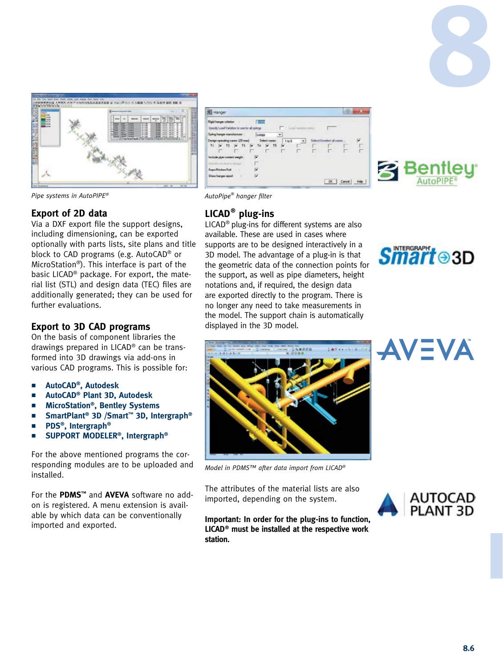

*Pipe systems in AutoPIPE®* 

#### **Export of 2D data**

Via a DXF export file the support designs, including dimensioning, can be exported optionally with parts lists, site plans and title block to CAD programs (e.g. AutoCAD® or MicroStation®). This interface is part of the basic LICAD® package. For export, the material list (STL) and design data (TEC) files are additionally generated; they can be used for further evaluations.

#### **Export to 3D CAD programs**

On the basis of component libraries the drawings prepared in LICAD® can be transformed into 3D drawings via add-ons in various CAD programs. This is possible for:

- **AutoCAD®, Autodesk**
- **AutoCAD® Plant 3D, Autodesk**
- MicroStation<sup>®</sup>, Bentley Systems
- **SmartPlant® 3D /Smart™ 3D, Intergraph®**
- **PDS®, Intergraph®**
- **SUPPORT MODELER®, Intergraph®**

For the above mentioned programs the corresponding modules are to be uploaded and installed.

For the **PDMS™** and **AVEVA** software no addon is registered. A menu extension is available by which data can be conventionally imported and exported.



*AutoPipe*®  *hanger filter* 

#### **LICAD ® plug-ins**

LICAD® plug-ins for different systems are also available. These are used in cases where supports are to be designed interactively in a 3D model. The advantage of a plug-in is that the geometric data of the connection points for the support, as well as pipe diameters, height notations and, if required, the design data are exported directly to the program. There is no longer any need to take measurements in the model. The support chain is automatically displayed in the 3D model.



AVEVA

**8**



*Model in PDMS™ after data import from LICAD®*

The attributes of the material lists are also imported, depending on the system.

**Important: In order for the plug-ins to function, LICAD® must be installed at the respective work station.** 

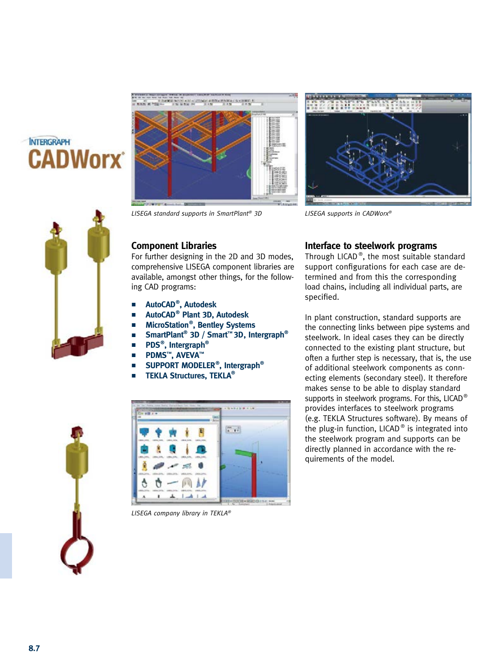## **INTERGRAPH CADWorx**





*LISEGA standard supports in SmartPlant® 3D* 

#### **Component Libraries**

For further designing in the 2D and 3D modes, comprehensive LISEGA component libraries are available, amongst other things, for the following CAD programs:

- **AutoCAD ®, Autodesk**
- **AutoCAD<sup>®</sup> Plant 3D, Autodesk**
- **MicroStation ®, Bentley Systems**
- **SmartPlant® 3D / Smart™ 3D, Intergraph®**
- **PDS ®, Intergraph®**
- **PDMS™, AVEVA™**
- **SUPPORT MODELER ®, Intergraph®**
- **TEKLA Structures, TEKLA®**





*LISEGA company library in TEKLA®* 



*LISEGA supports in CADWorx®* 

#### **Interface to steelwork programs**

Through LICAD<sup>®</sup>, the most suitable standard support configurations for each case are determined and from this the corresponding load chains, including all individual parts, are specified.

In plant construction, standard supports are the connecting links between pipe systems and steelwork. In ideal cases they can be directly connected to the existing plant structure, but often a further step is necessary, that is, the use of additional steelwork components as connecting elements (secondary steel). It therefore makes sense to be able to display standard supports in steelwork programs. For this, LICAD<sup>®</sup> provides interfaces to steelwork programs (e.g. TEKLA Structures software). By means of the plug-in function, LICAD $^{\circ}$  is integrated into the steelwork program and supports can be directly planned in accordance with the requirements of the model.